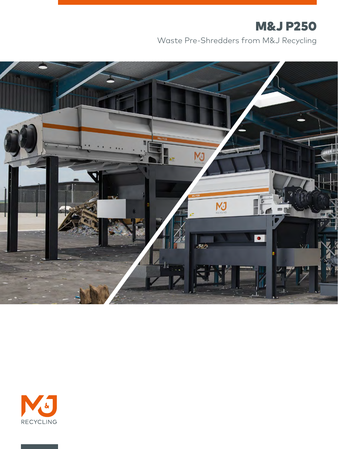# M&J P250

Waste Pre-Shredders from M&J Recycling



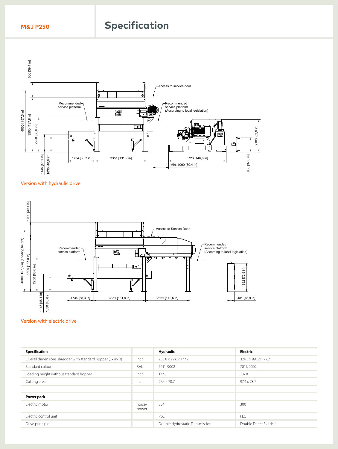## **M&J P250 Specification**



### Version with hydraulic drive



#### Version with electric drive **Example 3**  $U_{\rm L}$

| Specification                                            |                 | Hydraulic                       | Electric                |
|----------------------------------------------------------|-----------------|---------------------------------|-------------------------|
| Overall dimensions shredder with standard hopper (LxWxH) | inch            | 233.0 x 99.6 x 177.2            | 324.5 x 99.6 x 177.2    |
| Standard colour                                          | RAL             | 7011, 9002                      | 7011, 9002              |
| Loading height without standard hopper                   | inch            | 137.8                           | 137.8                   |
| Cutting area                                             | inch            | $97.4 \times 78.7$              | $97.4 \times 78.7$      |
|                                                          |                 |                                 |                         |
| Power pack                                               |                 |                                 |                         |
| Electric motor                                           | horse-<br>power | 354                             | 300                     |
| Electric control unit                                    |                 | PLC                             | PLC                     |
| Drive principle                                          |                 | Double Hydrostatic Transmission | Double Direct Eletrical |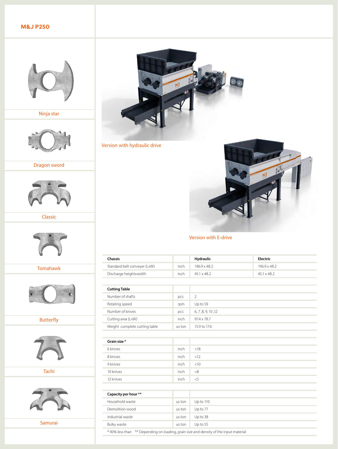## **M&J P250**



Ninja star



Dragon sword



Classic



Tomahawk



Butterfly



Tachi



Samurai



Version with hydraulic drive



Version with E-drive

| <b>Chassis</b>                |        | <b>Hydraulic</b>   | Electric           |
|-------------------------------|--------|--------------------|--------------------|
| Standard belt conveyer (LxW)  | inch   | 196.9 x 48.2       | 196.9 x 48.2       |
| Discharge heightxwidth        | inch   | 45.1 x 48.2        | $45.1 \times 48.2$ |
|                               |        |                    |                    |
| <b>Cutting Table</b>          |        |                    |                    |
| Number of shafts              | pcs    | $\overline{2}$     |                    |
| Rotating speed                | rpm    | Up to 59           |                    |
| Number of knives              | pcs    | 6, 7, 8, 9, 10, 12 |                    |
| Cutting area (LxW)            | inch   | 97.4 x 78.7        |                    |
| Weight complete cutting table | us ton | 15.9 to 17.6       |                    |
|                               |        |                    |                    |
| Grain size*                   |        |                    |                    |
| 6 knives                      | inch   | < 18               |                    |
| 8 knives                      | inch   | < 12               |                    |
| 9 knives                      | inch   | $<$ 10             |                    |
| 10 knives                     | inch   | < 8                |                    |
| 12 knives                     | inch   | $<$ 5              |                    |
|                               |        |                    |                    |
| Capacity per hour **          |        |                    |                    |
| Household waste               | us ton | Up to 110          |                    |
| Demolition wood               | us ton | Up to 77           |                    |
| Industrial waste              | us ton | Up to 38           |                    |
| <b>Bulky waste</b>            | us ton | Up to 55           |                    |

\* 90% less than \*\* Depending on loading, grain size and density of the input material